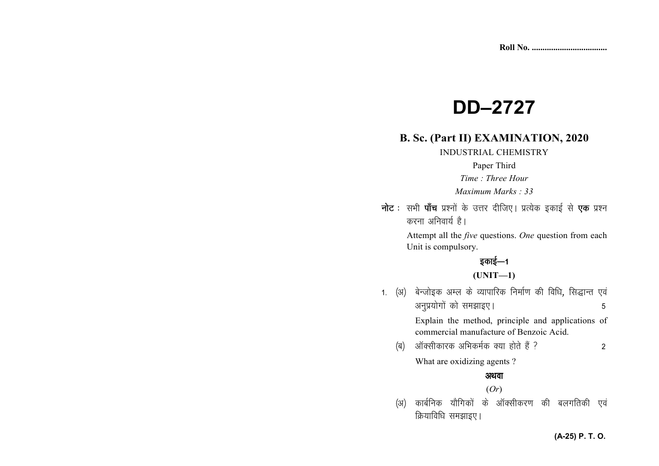# **DD–2727**

### **B. Sc. (Part II) EXAMINATION, 2020**

INDUSTRIAL CHEMISTRY

#### Paper Third

*Time : Three Hour* 

*Maximum Marks : 33*

नोट : सभी पाँच प्रश्नों के उत्तर दीजिए। प्रत्येक इकाई से **एक** प्रश्न करना अनिवार्य है।

> Attempt all the *five* questions. *One* question from each Unit is compulsory.

## इकाई—1

#### **(UNIT—1)**

1. (अ) बेन्जोइक अम्ल के व्यापारिक निर्माण की विधि, सिद्धान्त एवं अनुप्रयोगों को समझाइए।<br>5

> Explain the method, principle and applications of commercial manufacture of Benzoic Acid.

¼c½ vkWDlhdkjd vfHkdeZd D;k gksrs gSa \ 2

What are oxidizing agents ?

### अथवा

#### (*Or*)

(अ) कार्बनिक यौगिकों के ऑक्सीकरण की बलगतिकी एवं क्रियाविधि समझाइए।

#### **(A-25) P. T. O.**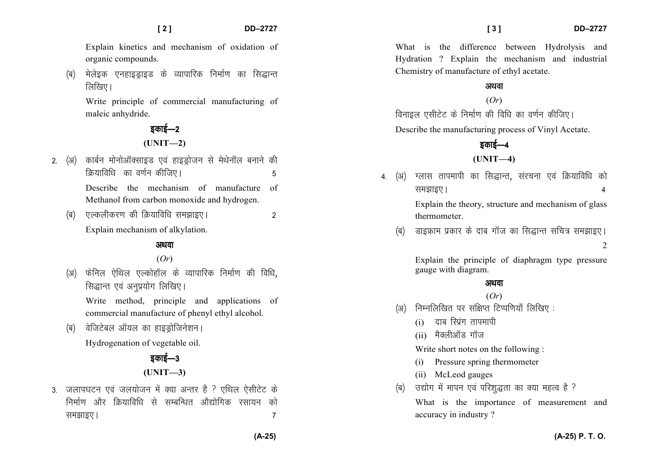Explain kinetics and mechanism of oxidation of organic compounds.

(ब) मेलेइक एनहाइड्राइड के व्यापारिक निर्माण का सिद्धान्त  $\lceil \overline{\mathsf{M}} \rceil$ खिए।

Write principle of commercial manufacturing of maleic anhydride.

> डकाई—2 **(UNIT—2)**

- 2. (अ) कार्बन मोनोऑक्साइड एवं हाइड्रोजन से मेथेनॉल बनाने की कियाविधि का वर्णन कीजिए। उनके उन्हें क Describe the mechanism of manufacture of Methanol from carbon monoxide and hydrogen.
	- ¼c½ ,Ydyhdj.k dh fØ;kfof/k le>kb,A 2 Explain mechanism of alkylation.

#### अथवा

#### (*Or*)

(अ) फेनिल ऐथिल एल्कोहॉल के व्यापारिक निर्माण की विधि. सिद्धान्त एवं अनप्रयोग लिखिए।

Write method, principle and applications of commercial manufacture of phenyl ethyl alcohol.

(ब) वेजिटेबल ऑयल का हाइड़ोजिनेशन।

Hydrogenation of vegetable oil.

### डकाई—3 **(UNIT—3)**

3. जलापघटन एवं जलयोजन में क्या अन्तर है ? एथिल ऐसीटेट के निर्माण और क्रियाविधि से सम्बन्धित औद्योगिक रसायन को समझाइए ।  $\sim$  7  $\sim$  7  $\sim$  7  $\sim$  7  $\sim$  7  $\sim$  7  $\sim$  7  $\sim$  7  $\sim$  7  $\sim$  7  $\sim$  7  $\sim$  7  $\sim$  7  $\sim$  7  $\sim$  7  $\sim$  7  $\sim$  7  $\sim$  7  $\sim$  7  $\sim$  7  $\sim$  7  $\sim$  7  $\sim$  7  $\sim$  7  $\sim$  7  $\sim$  7  $\sim$  7  $\sim$  7  $\sim$  7  $\sim$  7

What is the difference between Hydrolysis and Hydration ? Explain the mechanism and industrial Chemistry of manufacture of ethyl acetate.

### अथवा

# (*Or*)

विनाइल एसीटेट के निर्माण की विधि का वर्णन कीजिए।

Describe the manufacturing process of Vinyl Acetate.

# इकाई—4

#### **(UNIT—4)**

- 4. (अ) ग्लास तापमापी का सिद्धान्त, संरचना एवं क्रियाविधि को le>kb,A 4 Explain the theory, structure and mechanism of glass thermometer.
	- (ब) ज्ञाइफ्राम प्रकार के दाब गॉज का सिद्धान्त सचित्र समझाइए।  $\mathcal{L}$

Explain the principle of diaphragm type pressure gauge with diagram.

#### अथवा

#### (*Or*)

- $(x)$  निम्नलिखित पर संक्षिप्त टिप्पणियाँ लिखिए:
	- $(i)$  दाब रिग्रंग तापमापी
	- $(i)$  मैक्लीऑड गॉज

Write short notes on the following :

- (i) Pressure spring thermometer
- (ii) McLeod gauges
- (ब) उद्योग में मापन एवं परिशुद्धता का क्या महत्व है ?

What is the importance of measurement and accuracy in industry ?